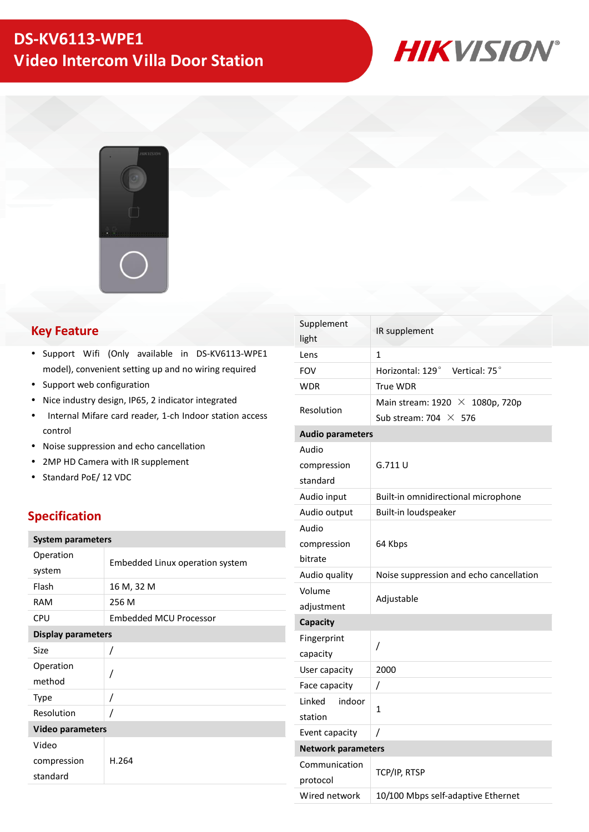# **DS-KV6113-WPE1 Video Intercom Villa Door Station**



# **Key Feature**

- Support Wifi (Only available in DS-KV6113-WPE1 model), convenient setting up and no wiring required
- Support web configuration
- Nice industry design, IP65, 2 indicator integrated
- Internal Mifare card reader, 1-ch Indoor station access control
- Noise suppression and echo cancellation
- 2MP HD Camera with IR supplement
- Standard PoE/ 12 VDC

### **Specification**

| <b>System parameters</b>  |                                 |  |  |
|---------------------------|---------------------------------|--|--|
| Operation                 | Embedded Linux operation system |  |  |
| system                    |                                 |  |  |
| Flash                     | 16 M, 32 M                      |  |  |
| RAM                       | 256 M                           |  |  |
| CPU                       | <b>Embedded MCU Processor</b>   |  |  |
| <b>Display parameters</b> |                                 |  |  |
| Size                      | Ι                               |  |  |
| Operation                 |                                 |  |  |
| method                    | /                               |  |  |
| <b>Type</b>               | Ι                               |  |  |
| Resolution                | 7                               |  |  |
| <b>Video parameters</b>   |                                 |  |  |
| Video                     |                                 |  |  |
| compression               | H.264                           |  |  |
| standard                  |                                 |  |  |
|                           |                                 |  |  |

| Supplement<br>light              | IR supplement                                                           |  |  |
|----------------------------------|-------------------------------------------------------------------------|--|--|
| Lens                             | $\mathbf{1}$                                                            |  |  |
| <b>FOV</b>                       | Horizontal: 129°<br>Vertical: 75°                                       |  |  |
| <b>WDR</b>                       | True WDR                                                                |  |  |
| Resolution                       | Main stream: $1920 \times 1080p$ , 720p<br>Sub stream: 704 $\times$ 576 |  |  |
| <b>Audio parameters</b>          |                                                                         |  |  |
| Audio<br>compression<br>standard | G.711U                                                                  |  |  |
| Audio input                      | Built-in omnidirectional microphone                                     |  |  |
| Audio output                     | Built-in loudspeaker                                                    |  |  |
| Audio<br>compression<br>bitrate  | 64 Kbps                                                                 |  |  |
| Audio quality                    | Noise suppression and echo cancellation                                 |  |  |
| Volume<br>adjustment             | Adjustable                                                              |  |  |
| Capacity                         |                                                                         |  |  |
| Fingerprint<br>capacity          | /                                                                       |  |  |
| User capacity                    | 2000                                                                    |  |  |
| Face capacity                    | /                                                                       |  |  |
| Linked<br>indoor<br>station      | 1                                                                       |  |  |
| Event capacity                   | 7                                                                       |  |  |
| <b>Network parameters</b>        |                                                                         |  |  |
| Communication<br>protocol        | TCP/IP, RTSP                                                            |  |  |
| Wired network                    | 10/100 Mbps self-adaptive Ethernet                                      |  |  |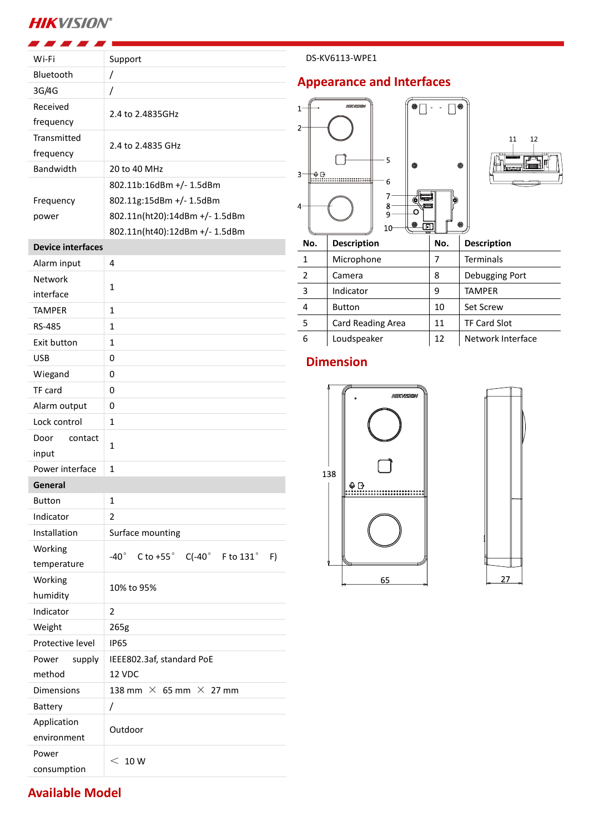# **HIKVISION®**

**Available Model**

| Wi-Fi                      | Support                                                 |  |  |
|----------------------------|---------------------------------------------------------|--|--|
| Bluetooth                  | $\overline{1}$                                          |  |  |
| 3G/4G                      | 7                                                       |  |  |
| Received                   |                                                         |  |  |
| frequency                  | 2.4 to 2.4835GHz                                        |  |  |
| Transmitted                |                                                         |  |  |
| frequency                  | 2.4 to 2.4835 GHz                                       |  |  |
| <b>Bandwidth</b>           | 20 to 40 MHz                                            |  |  |
|                            | 802.11b:16dBm +/- 1.5dBm                                |  |  |
| Frequency                  | 802.11g:15dBm +/- 1.5dBm                                |  |  |
| power                      | 802.11n(ht20):14dBm +/- 1.5dBm                          |  |  |
|                            | 802.11n(ht40):12dBm +/- 1.5dBm                          |  |  |
| <b>Device interfaces</b>   |                                                         |  |  |
| Alarm input                | 4                                                       |  |  |
| Network                    | $\mathbf{1}$                                            |  |  |
| interface                  |                                                         |  |  |
| <b>TAMPER</b>              | $\mathbf{1}$                                            |  |  |
| <b>RS-485</b>              | $\mathbf{1}$                                            |  |  |
| Exit button                | $\mathbf{1}$                                            |  |  |
| <b>USB</b>                 | 0                                                       |  |  |
| Wiegand                    | 0                                                       |  |  |
| TF card                    | 0                                                       |  |  |
| Alarm output               | 0                                                       |  |  |
| Lock control               | 1                                                       |  |  |
| Door<br>contact            | $\mathbf{1}$                                            |  |  |
| input                      |                                                         |  |  |
| Power interface            | $\mathbf{1}$                                            |  |  |
| General                    |                                                         |  |  |
| <b>Button</b>              | 1                                                       |  |  |
| Indicator                  | 2                                                       |  |  |
| Installation               | Surface mounting                                        |  |  |
| Working                    | $C$ to +55° $C(-40°)$ F to 131°<br>-40 $^{\circ}$<br>F) |  |  |
| temperature                |                                                         |  |  |
| Working                    | 10% to 95%                                              |  |  |
| humidity                   |                                                         |  |  |
| Indicator                  | 2                                                       |  |  |
| Weight<br>Protective level | 265g<br><b>IP65</b>                                     |  |  |
| Power                      |                                                         |  |  |
| supply<br>method           | IEEE802.3af, standard PoE<br>12 VDC                     |  |  |
| <b>Dimensions</b>          | 138 mm $\times$ 65 mm $\times$ 27 mm                    |  |  |
| <b>Battery</b>             | Ι                                                       |  |  |
| Application                |                                                         |  |  |
| environment                | Outdoor                                                 |  |  |
| Power                      |                                                         |  |  |
| consumption                | < 10 W                                                  |  |  |

#### DS-KV6113-WPE1

### **Appearance and Interfaces**





| ∸   |                    |     |                     |  |
|-----|--------------------|-----|---------------------|--|
| No. | <b>Description</b> | No. | <b>Description</b>  |  |
| 1   | Microphone         | 7   | <b>Terminals</b>    |  |
| 2   | Camera             | 8   | Debugging Port      |  |
| 3   | Indicator          | 9   | <b>TAMPER</b>       |  |
| 4   | <b>Button</b>      | 10  | <b>Set Screw</b>    |  |
| 5   | Card Reading Area  | 11  | <b>TF Card Slot</b> |  |
| 6   | Loudspeaker        | 12  | Network Interface   |  |
|     |                    |     |                     |  |

鱼

## **Dimension**